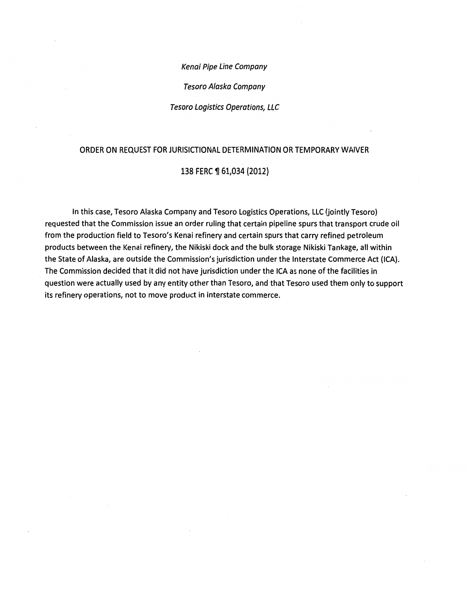Kenai Pipe Line Company

Tesoro Alaska Company

Tesoro Logistics Operations, LLC

#### ORDER ON REQUEST FOR JURISICTIONAL DETERMINATION OR TEMPORARY WAIVER

#### 138 FERC ¶ 61,034 (2012)

In this case, Tesoro Alaska Company and Tesoro Logistics Operations, LLC (jointly Tesoro) requested that the Commission issue an order ruling that certain pipeline spurs that transport crude oil from the production field to Tesoro's Kenai refinery and certain spurs that carry refined petroleum products between the Kenai refinery, the Nikiski dock and the bulk storage Nikiski Tankage, all within the State of Alaska, are outside the Commission's jurisdiction under the Interstate Commerce Act (ICA). The Commission decided that it did not have jurisdiction under the ICA as none of the facilities in question were actually used by any entity other than Tesoro, and that Tesoro used them only to support its refinery operations, not to move product in interstate commerce.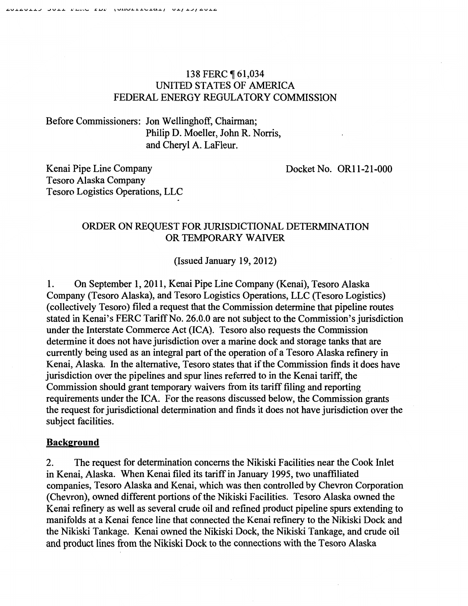## 138 FERC ¶ 61,034 UNITED STATES OF AMERICA FEDERAL ENERGY REGULATORY COMMISSION

# Before Commissioners: Jon Wellinghoff, Chairman; Philip D. Moeller, John R. Norris, and Cheryl A. LaFleur.

Docket No. OR11-21-000

Kenai Pipe Line Company Tesoro Alaska Company Tesoro Logistics Operations, LLC

### ORDER ON REQUEST FOR JURISDICTIONAL DETERMINATION OR TEMPORARY WAIVER

(Issued January 19, 2012)

1. On September 1, 2011, Kenai Pipe Line Company (Kenai), Tesoro Alaska Company (Tesoro Alaska), and Tesoro Logistics Operations, LLC (Tesoro Logistics) (collectively Tesoro) filed a request that the Commission determine that pipeline routes stated in Kenai's FERC Tariff No. 26.0.0 are not subject to the Commission's jurisdiction under the Interstate Commerce Act (ICA). Tesoro also requests the Commission determine it does not have jurisdiction over a marine dock and storage tanks that are currently being used as an integral part of the operation of a Tesoro Alaska refmery in Kenai, Alaska. In the alternative, Tesoro states that if the Commission fmds it does have jurisdiction over the pipelines and spur lines referred to in the Kenai tariff, the Commission should grant temporary waivers from its tariff filing and reporting requirements under the ICA. For the reasons discussed below, the Commission grants the request for jurisdictional determination and finds it does not have jurisdiction over the subject facilities.

### **Background**

2. The request for determination concerns the Nikiski Facilities near the Cook Inlet in Kenai, Alaska. When Kenai filed its tariff in January 1995, two unaffiliated companies, Tesoro Alaska and Kenai, which was then controlled by Chevron Corporation (Chevron), owned different portions of the Nikiski Facilities. Tesoro Alaska owned the Kenai refinery as well as several crude oil and refmed product pipeline spurs extending to manifolds at a Kenai fence line that connected the Kenai refinery to the Nikiski Dock and the Nikiski Tankage. Kenai owned the Nikiski Dock, the Nikiski Tankage, and crude oil and product lines from the Nikiski Dock to the connections with the Tesoro Alaska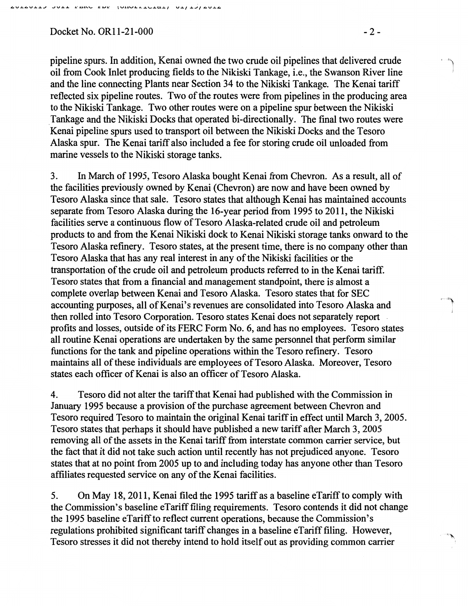$Dacket No. OR11-21-000$   $-2-2$ 

.<br>المر<sub>الة ا</sub>ل

pipeline spurs. In addition, Kenai owned the two crude oil pipelines that delivered crude oil from Cook Inlet producing fields to the Nikiski Tankage, i.e., the Swanson River line and the line connecting Plants near Section 34 to the Nikiski Tankage. The Kenai tariff reflected six pipeline routes. Two of the routes were from pipelines in the producing area to the Nikiski Tankage. Two other routes were on a pipeline spur between the Nikiski \_Tankage and the Nikiski Docks that operated bi-directionally. The fmal two routes were Kenai pipeline spurs used to transport oil between the Nikiski Docks and the Tesoro Alaska spur. The Kenai tariff also included a fee for storing crude oil unloaded from marine vessels to the Nikiski storage tanks.

3. In March of 1995, Tesoro Alaska bought Kenai from Chevron. As a result, all of the facilities previously owned by Kenai (Chevron) are now and have been owned by Tesoro Alaska since that sale. Tesoro states that although Kenai has maintained accounts separate from Tesoro Alaska during the 16-year period from 1995 to 2011, the Nikiski facilities serve a continuous flow of Tesoro Alaska-related crude oil and petroleum products to and from the Kenai Nikiski dock to Kenai Nikiski storage tanks onward to the Tesoro Alaska refinery. Tesoro states, at the present time, there is no company other than Tesoro Alaska that has any real interest in any of the Nikiski facilities or the transportation of the crude oil and petroleum products referred to in the Kenai tariff. Tesoro states that from a financial and management standpoint, there is almost a complete overlap between Kenai and Tesoro Alaska. Tesoro states that for SEC accounting purposes, all of Kenai's revenues are consolidated into Tesoro Alaska and then rolled into Tesoro Corporation. Tesoro states Kenai does not separately report . profits and losses, outside of its FERC Form No.6, and has no employees. Tesoro states all routine Kenai operations are undertaken by the same personnel that perform similar functions for the tank and pipeline operations within the Tesoro refinery. Tesoro maintains all of these individuals are employees of Tesoro Alaska. Moreover, Tesoro states each officer of Kenai is also an officer of Tesoro Alaska.

4. Tesoro did not alter the tariff that Kenai had published with the Commission in January 1995 because a provision of the purchase agreement between Chevron and Tesoro required Tesoro to maintain the original Kenai tariff in effect until March 3, 2005. Tesoro states that perhaps it should have published a new tariff after March 3, 2005 removing all of the assets in the Kenai tariff from interstate common carrier service, but the fact that it did not take such action until recently has not prejudiced anyone. Tesoro states that at no point from 2005 up to and including today has anyone other than Tesoro affiliates requested service on any of the Kenai facilities.

5. On May 18, 2011, Kenai filed the 1995 tariff as a baseline eTariffto comply with the Commission's baseline eTarifffiling requirements. Tesoro contends it did not change the 1995 baseline eTariffto reflect current operations, because the Commission's regulations prohibited significant tariff changes in a baseline eTariff filing. However, Tesoro stresses it did not thereby intend to hold itself out as providing common carrier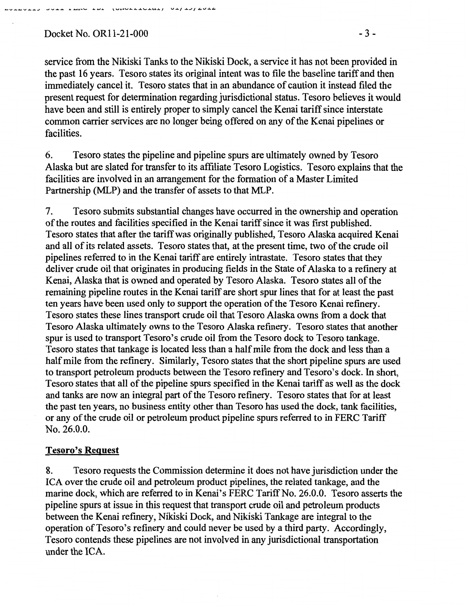\_...,.,...\_...,.,....,... \_\_ ...,.,....,... • ...... "- .. ...,. \-4..&.....,.a...a..eL¥\_.U...&.J U.LJ ..&....IJ.ti.V..&..tl.

service from the Nikiski Tanks to the Nikiski Dock, a service it has not been provided in the past 16 years. Tesoro states its original intent was to file the baseline tariff and then immediately cancel it. Tesoro states that in an abundance of caution it instead filed the present request for determination regarding jurisdictional status. Tesoro believes it would have been and still is entirely proper to simply cancel the Kenai tariff since interstate common carrier services are no longer being offered on any of the Kenai pipelines or facilities.

6. Tesoro states the pipeline and pipeline spurs are ultimately owned by Tesoro Alaska but are slated for transfer to its affiliate Tesoro Logistics. Tesoro explains that the facilities are involved in an arrangement for the formation of a Master Limited Partnership (MLP) and the transfer of assets to that MLP.

7. Tesoro submits substantial changes have occurred in the ownership and operation of the routes and facilities specified in the Kenai tariff since it was first published. Tesoro states that after the tariff was originally published, Tesoro Alaska acquired Kenai and all of its related assets. Tesoro states that, at the present time, two of the crude oil pipelines referred to in the Kenai tariff are entirely intrastate. Tesoro states that they deliver crude oil that originates in producing fields in the State of Alaska to a refinery at Kenai, Alaska that is owned and operated by Tesoro Alaska. Tesoro states all of the remaining pipeline routes in the Kenai tariff are short spur lines that for at least the past ten years have been used only to support the operation of the Tesoro Kenai refmery. Tesoro states these lines transport crude oil that Tesoro Alaska owns from a dock that Tesoro Alaska ultimately owns to the Tesoro Alaska refinery. Tesoro states that another spur is used to transport Tesoro's crude oil from the Tesoro dock to Tesoro tankage. Tesoro states that tankage is located less than a half mile from the dock and less than a half mile from the refmery. Similarly, Tesoro states that the short pipeline spurs are used to transport petroleum products between the Tesoro refinery and Tesoro's dock. In short, Tesoro states that all of the pipeline spurs specified in the Kenai tariff as well as the dock and tanks are now an integral part of the Tesoro refinery. Tesoro states that for at least the past ten years, no business entity other than Tesoro has used the dock, tank facilities, or any of the crude oil or petroleum product pipeline spurs referred to in FERC Tariff No. 26.0.0.

# Tesoro's Request

8. Tesoro requests the Commission determine it does not have jurisdiction under the ICA over the crude oil and petroleum product pipelines, the related tankage, and the marine dock, which are referred to in Kenai's FERC Tariff No. 26.0.0. Tesoro asserts the pipeline spurs at issue in this request that transport crude oil and petroleum products between the Kenai refinery, Nikiski Dock, and Nikiski Tankage are integral to the operation of Tesoro's refinery and could never be used by a third party. Accordingly, Tesoro contends these pipelines are not involved in any jurisdictional transportation under the ICA.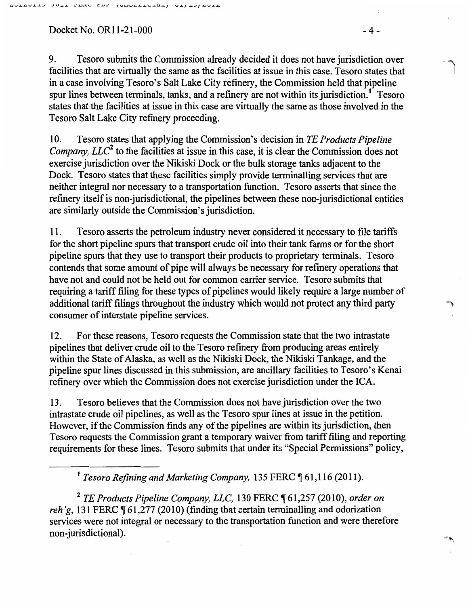Docket No. OR11-21-000 - 4 -

9. Tesoro submits the Commission already decided it does not have jurisdiction over facilities that are virtually the same as the facilities at issue in this case. Tesoro states that in a case involving Tesoro's Salt Lake City refinery, the Commission held that pipeline spur lines between terminals, tanks, and a refinery are not within its jurisdiction.<sup>1</sup> Tesoro states that the facilities at issue in this case are virtually the same as those involved in the Tesoro Salt Lake City refinery proceeding.

10. Tesoro states that applying the Commission's decision in *TE Products Pipeline Company, LLC*<sup>2</sup> to the facilities at issue in this case, it is clear the Commission does not exercise jurisdiction over the Nikiski Dock or the bulk storage tanks adjacent to the Dock. Tesoro states that these facilities simply provide terminalling services that are neither integral nor necessary to a transportation function. Tesoro asserts that since the refinery itself is non-jurisdictional, the pipelines between these non-jurisdictional entities are similarly outside the Commission's jurisdiction.

11. Tesoro asserts the petroleum industry never considered it necessary to file tariffs for the short pipeline spurs that transport crude oil into their tank farms or for the short pipeline spurs that they use to transport their products to proprietary terminals. Tesoro contends that some amount of pipe will always be necessary for refinery operations that have not and could not be held out for common carrier service. Tesoro submits that requiring a tariff filing for these types of pipelines would likely require a large number of additional tariff filings throughout the industry which would not protect any third party consumer of interstate pipeline services.

12. For these reasons, Tesoro requests the Commission state that the two intrastate pipelines that deliver crude oil to the Tesoro refinery from producing areas entirely within the State of Alaska, as well as the Nikiski Dock, the Nikiski Tankage, and the pipeline spur lines discussed in this submission, are ancillary facilities to Tesoro's Kenai refinery over which the Commission does not exercise jurisdiction under the ICA.

13. Tesoro believes that the Commission does not have jurisdiction over the two intrastate crude oil pipelines, as well as the Tesoro spur lines at issue in the petition. However, if the Commission finds any of the pipelines are within its jurisdiction, then Tesoro requests the Commission grant a temporary waiver from tariff filing and reporting requirements for these lines. Tesoro submits that under its "Special Permissions" policy,

<sup>1</sup> Tesoro Refining and Marketing Company, 135 FERC ¶ 61,116 (2011).

<sup>2</sup> TE Products Pipeline Company, LLC, 130 FERC ¶ 61,257 (2010), order on *reh'g*, 131 FERC (61,277 (2010) (finding that certain terminalling and odorization services were not integral or necessary to the transportation function and were therefore non-jurisdictional).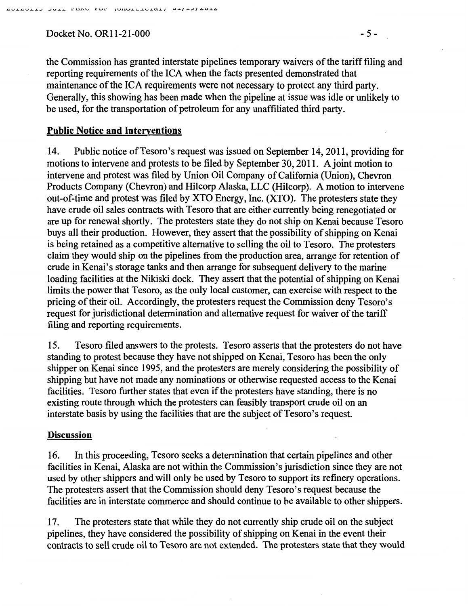Docket No. OR11-21-000 - 5 -

the Commission has granted interstate pipelines temporary waivers ofthe tariff filing and reporting requirements of the ICA when the facts presented demonstrated that maintenance of the ICA requirements were not necessary to protect any third party. Generally, this showing has been made when the pipeline at issue was idle or unlikely to be used, for the transportation of petroleum for any unaffiliated third party.

### Public Notice and Interventions

14. Public notice of Tesoro's request was issued on September 14, 2011, providing for motions to intervene and protests to be filed by September 30, 2011. A joint motion to intervene and protest was filed by Union Oil Company of California (Union), Chevron Products Company (Chevron) and Hilcorp Alaska, LLC (Hilcorp). A motion to intervene out-of-time and protest was filed by XTO Energy, Inc. {XTO). The protesters state they have crude oil sales contracts with Tesoro that are either currently being renegotiated or are up for renewal shortly. The protesters state they do not ship on Kenai because Tesoro buys all their production. However, they assert that the possibility of shipping on Kenai is being retained as a competitive alternative to selling the oil to Tesoro. The protesters claim they would ship on the pipelines from the production area, arrange for retention of crude in Kenai's storage tanks and then arrange for subsequent delivery to the marine loading facilities at the Nikiski dock. They assert that the potential of shipping on Kenai limits the power that Tesoro, as the only local customer, can exercise with respect to the pricing oftheir oiL Accordingly, the protesters request the Commission deny Tesoro's request for jurisdictional determination and alternative request for waiver of the tariff filing and reporting requirements.

15. Tesoro filed answers to the protests. Tesoro asserts that the protesters do not have standing to protest because they have not shipped on Kenai, Tesoro has been the only shipper on Kenai since 1995, and the protesters are merely considering the possibility of shipping but have not made any nominations or otherwise requested access to the Kenai facilities. Tesoro further states that even if the protesters have standing, there is no existing route through which the protesters can feasibly transport crude oil on an interstate basis by using the facilities that are the subject of Tesoro's request.

### **Discussion**

16. In this proceeding, Tesoro seeks a determination that certain pipelines and other facilities in Kenai, Alaska are not within the Commission's jurisdiction since they are not used by other shippers and will only be used by Tesoro to support its refinery operations. The protesters assert that the Commission should deny Tesoro's request because the facilities are in interstate commerce and should continue to be available to other shippers.

17. The protesters state that while they do not currently ship crude oil on the subject pipelines, they have considered the possibility of shipping on Kenai in the event their contracts to sell crude oil to Tesoro are not extended. The protesters state that they would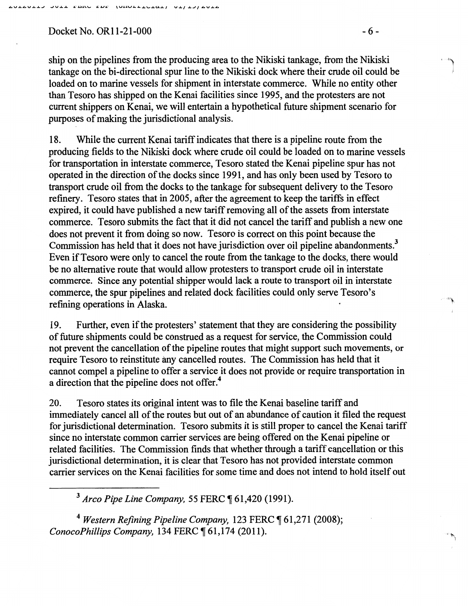### $Docket No. OR11-21-000$  -6-

ship on the pipelines from the producing area to the Nikiski tankage, from the Nikiski tankage on the bi-directional spur line to the Nikiski dock where their crude oil could be loaded on to marine vessels for shipment in interstate commerce. While no entity other than Tesoro has shipped on the Kenai facilities since 1995, and the protesters are not current shippers on Kenai, we will entertain a hypothetical future shipment scenario for purposes of making the jurisdictional analysis.

18. While the current Kenai tariff indicates that there is a pipeline route from the producing fields to the Nikiski dock where crude oil could be loaded on to marine vessels for transportation in interstate commerce, Tesoro stated the Kenai pipeline spur has not operated in the direction of the docks since 1991, and has only been used by Tesoro to transport crude oil from the docks to the tankage for subsequent delivery to the Tesoro refinery. Tesoro states that in 2005, after the agreement to keep the tariffs in effect expired, it could have published a new tariff removing all of the assets from interstate commerce. Tesoro submits the fact that it did not cancel the tariff and publish a new one does not prevent it from doing so now. Tesoro is correct on this point because the Commission has held that it does not have jurisdiction over oil pipeline abandonments.<sup>3</sup> Even if Tesoro were only to cancel the route from the tankage to the docks, there would be no alternative route that would allow protesters to transport crude oil in interstate commerce. Since any potential shipper would lack a route to transport oil in interstate commerce, the spur pipelines and related dock facilities could only serve Tesoro's refining operations in Alaska.

19. Further, even if the protesters' statement that they are considering the possibility of future shipments could be construed as a request for service, the Commission could not prevent the cancellation of the pipeline routes that might support such movements, or require Tesoro to reinstitute any cancelled routes. The Commission has held that it cannot compel a pipeline to offer a service it does not provide or require transportation in a direction that the pipeline does not offer.4

20. Tesoro states its original intent was to file the Kenai baseline tariff and immediately cancel all of the routes but out of an abundance of caution it filed the request for jurisdictional determination. Tesoro submits it is still proper to cancel the Kenai tariff since no interstate common carrier services are being offered on the Kenai pipeline or related facilities. The Commission finds that whether through a tariff cancellation or this jurisdictional determination, it is clear that Tesoro has not provided interstate common carrier services on the Kenai facilities for some time and does not intend to hold itself out

<sup>3</sup> Arco Pipe Line Company, 55 FERC ¶ 61,420 (1991).

<sup>4</sup> Western Refining Pipeline Company, 123 FERC ¶ 61,271 (2008); *ConocoPhillips Company, 134 FERC*  $\P$  61,174 (2011).

' ")

 $\sim$   $\mu$ 

''""'